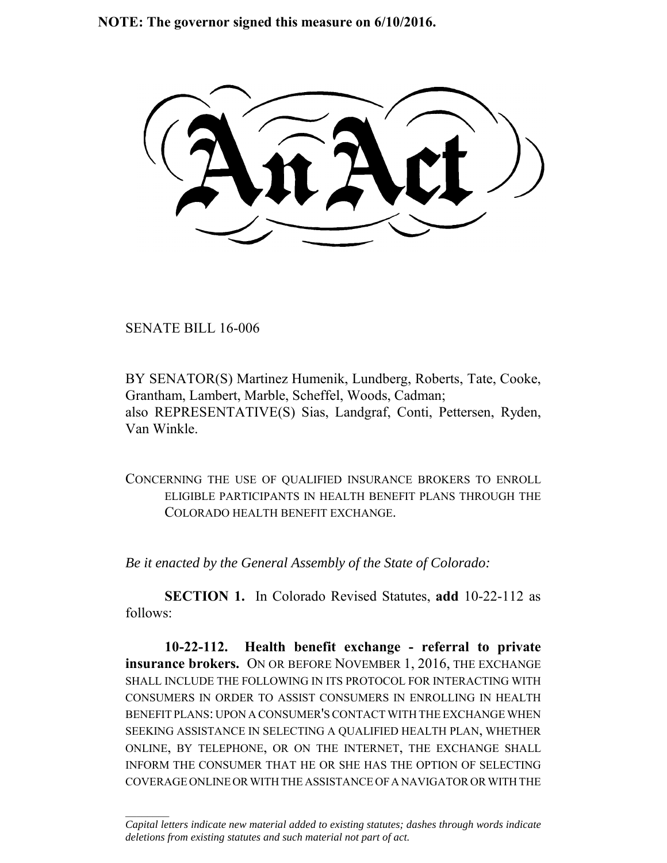**NOTE: The governor signed this measure on 6/10/2016.**

SENATE BILL 16-006

 $\frac{1}{2}$ 

BY SENATOR(S) Martinez Humenik, Lundberg, Roberts, Tate, Cooke, Grantham, Lambert, Marble, Scheffel, Woods, Cadman; also REPRESENTATIVE(S) Sias, Landgraf, Conti, Pettersen, Ryden, Van Winkle.

CONCERNING THE USE OF QUALIFIED INSURANCE BROKERS TO ENROLL ELIGIBLE PARTICIPANTS IN HEALTH BENEFIT PLANS THROUGH THE COLORADO HEALTH BENEFIT EXCHANGE.

*Be it enacted by the General Assembly of the State of Colorado:*

**SECTION 1.** In Colorado Revised Statutes, **add** 10-22-112 as follows:

**10-22-112. Health benefit exchange - referral to private insurance brokers.** ON OR BEFORE NOVEMBER 1, 2016, THE EXCHANGE SHALL INCLUDE THE FOLLOWING IN ITS PROTOCOL FOR INTERACTING WITH CONSUMERS IN ORDER TO ASSIST CONSUMERS IN ENROLLING IN HEALTH BENEFIT PLANS: UPON A CONSUMER'S CONTACT WITH THE EXCHANGE WHEN SEEKING ASSISTANCE IN SELECTING A QUALIFIED HEALTH PLAN, WHETHER ONLINE, BY TELEPHONE, OR ON THE INTERNET, THE EXCHANGE SHALL INFORM THE CONSUMER THAT HE OR SHE HAS THE OPTION OF SELECTING COVERAGE ONLINE OR WITH THE ASSISTANCE OF A NAVIGATOR OR WITH THE

*Capital letters indicate new material added to existing statutes; dashes through words indicate deletions from existing statutes and such material not part of act.*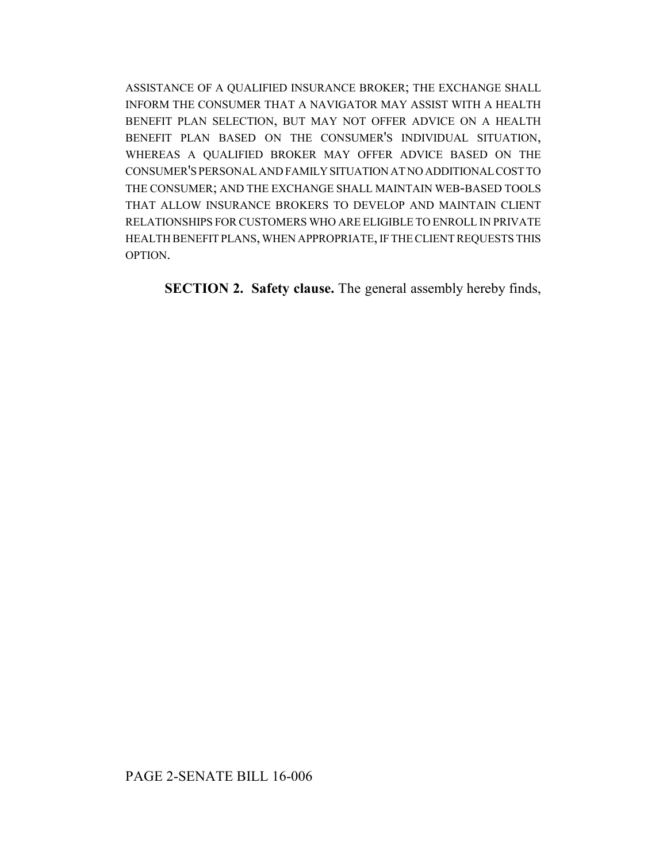ASSISTANCE OF A QUALIFIED INSURANCE BROKER; THE EXCHANGE SHALL INFORM THE CONSUMER THAT A NAVIGATOR MAY ASSIST WITH A HEALTH BENEFIT PLAN SELECTION, BUT MAY NOT OFFER ADVICE ON A HEALTH BENEFIT PLAN BASED ON THE CONSUMER'S INDIVIDUAL SITUATION, WHEREAS A QUALIFIED BROKER MAY OFFER ADVICE BASED ON THE CONSUMER'S PERSONAL AND FAMILY SITUATION AT NO ADDITIONAL COST TO THE CONSUMER; AND THE EXCHANGE SHALL MAINTAIN WEB-BASED TOOLS THAT ALLOW INSURANCE BROKERS TO DEVELOP AND MAINTAIN CLIENT RELATIONSHIPS FOR CUSTOMERS WHO ARE ELIGIBLE TO ENROLL IN PRIVATE HEALTH BENEFIT PLANS, WHEN APPROPRIATE, IF THE CLIENT REQUESTS THIS OPTION.

**SECTION 2. Safety clause.** The general assembly hereby finds,